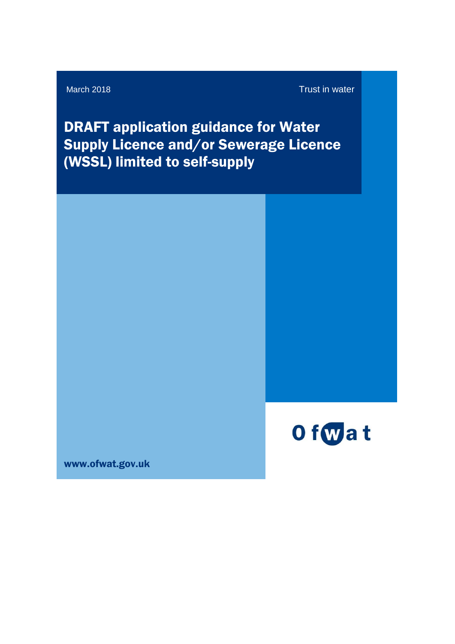#### March 2018 **Trust in water**

DRAFT application guidance for Water Supply Licence and/or Sewerage Licence (WSSL) limited to self-supply



www.ofwat.gov.uk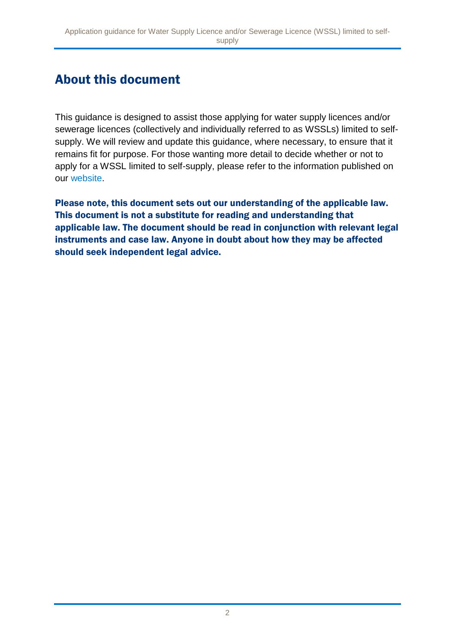# About this document

This guidance is designed to assist those applying for water supply licences and/or sewerage licences (collectively and individually referred to as WSSLs) limited to selfsupply. We will review and update this guidance, where necessary, to ensure that it remains fit for purpose. For those wanting more detail to decide whether or not to apply for a WSSL limited to self-supply, please refer to the information published on our [website.](https://www.ofwat.gov.uk/regulated-companies/markets/business-retail-market/water-supply-sewerage-licences/)

Please note, this document sets out our understanding of the applicable law. This document is not a substitute for reading and understanding that applicable law. The document should be read in conjunction with relevant legal instruments and case law. Anyone in doubt about how they may be affected should seek independent legal advice.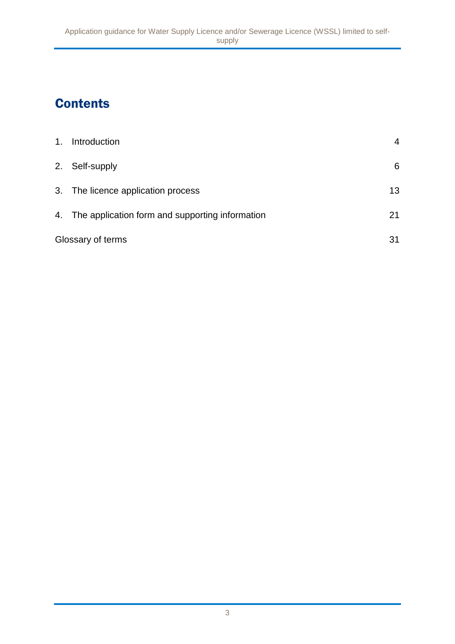# **Contents**

| 1 <sub>1</sub> | Introduction                                       | 4  |
|----------------|----------------------------------------------------|----|
|                | 2. Self-supply                                     | 6  |
|                | 3. The licence application process                 | 13 |
|                | 4. The application form and supporting information | 21 |
|                | Glossary of terms                                  | 31 |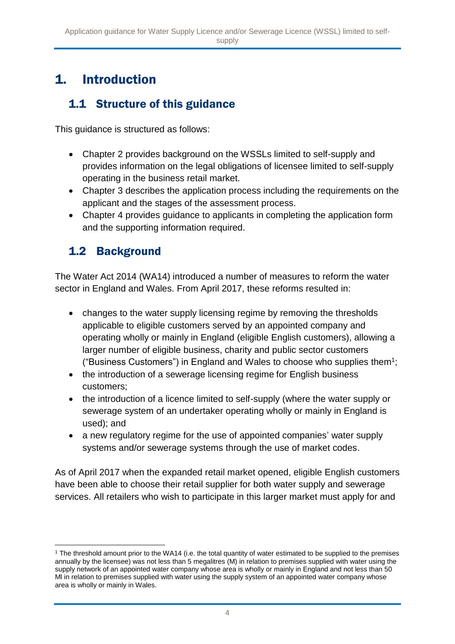# 1. Introduction

## 1.1 Structure of this guidance

This guidance is structured as follows:

- Chapter 2 provides background on the WSSLs limited to self-supply and provides information on the legal obligations of licensee limited to self-supply operating in the business retail market.
- Chapter 3 describes the application process including the requirements on the applicant and the stages of the assessment process.
- Chapter 4 provides guidance to applicants in completing the application form and the supporting information required.

# 1.2 Background

The Water Act 2014 (WA14) introduced a number of measures to reform the water sector in England and Wales. From April 2017, these reforms resulted in:

- changes to the water supply licensing regime by removing the thresholds applicable to eligible customers served by an appointed company and operating wholly or mainly in England (eligible English customers), allowing a larger number of eligible business, charity and public sector customers ("Business Customers") in England and Wales to choose who supplies them<sup>1</sup>;
- the introduction of a sewerage licensing regime for English business customers;
- the introduction of a licence limited to self-supply (where the water supply or sewerage system of an undertaker operating wholly or mainly in England is used); and
- a new regulatory regime for the use of appointed companies' water supply systems and/or sewerage systems through the use of market codes.

As of April 2017 when the expanded retail market opened, eligible English customers have been able to choose their retail supplier for both water supply and sewerage services. All retailers who wish to participate in this larger market must apply for and

<sup>1</sup> <sup>1</sup> The threshold amount prior to the WA14 (i.e. the total quantity of water estimated to be supplied to the premises annually by the licensee) was not less than 5 megalitres (M) in relation to premises supplied with water using the supply network of an appointed water company whose area is wholly or mainly in England and not less than 50 Ml in relation to premises supplied with water using the supply system of an appointed water company whose area is wholly or mainly in Wales.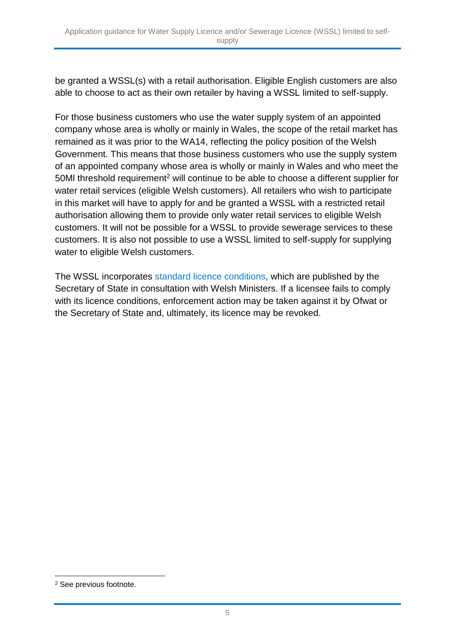be granted a WSSL(s) with a retail authorisation. Eligible English customers are also able to choose to act as their own retailer by having a WSSL limited to self-supply.

For those business customers who use the water supply system of an appointed company whose area is wholly or mainly in Wales, the scope of the retail market has remained as it was prior to the WA14, reflecting the policy position of the Welsh Government. This means that those business customers who use the supply system of an appointed company whose area is wholly or mainly in Wales and who meet the 50MI threshold requirement<sup>2</sup> will continue to be able to choose a different supplier for water retail services (eligible Welsh customers). All retailers who wish to participate in this market will have to apply for and be granted a WSSL with a restricted retail authorisation allowing them to provide only water retail services to eligible Welsh customers. It will not be possible for a WSSL to provide sewerage services to these customers. It is also not possible to use a WSSL limited to self-supply for supplying water to eligible Welsh customers.

The WSSL incorporates [standard licence conditions,](https://www.gov.uk/government/uploads/system/uploads/attachment_data/file/508326/wssl-licence-conditions-2016.pdf) which are published by the Secretary of State in consultation with Welsh Ministers. If a licensee fails to comply with its licence conditions, enforcement action may be taken against it by Ofwat or the Secretary of State and, ultimately, its licence may be revoked.

1

<sup>2</sup> See previous footnote.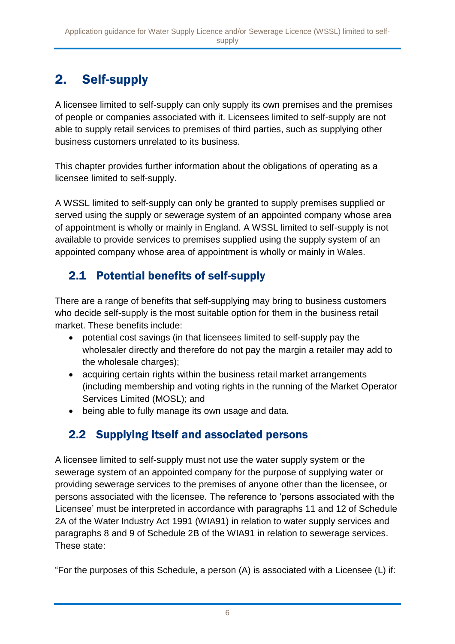# 2. Self-supply

A licensee limited to self-supply can only supply its own premises and the premises of people or companies associated with it. Licensees limited to self-supply are not able to supply retail services to premises of third parties, such as supplying other business customers unrelated to its business.

This chapter provides further information about the obligations of operating as a licensee limited to self-supply.

A WSSL limited to self-supply can only be granted to supply premises supplied or served using the supply or sewerage system of an appointed company whose area of appointment is wholly or mainly in England. A WSSL limited to self-supply is not available to provide services to premises supplied using the supply system of an appointed company whose area of appointment is wholly or mainly in Wales.

# 2.1 Potential benefits of self-supply

There are a range of benefits that self-supplying may bring to business customers who decide self-supply is the most suitable option for them in the business retail market. These benefits include:

- potential cost savings (in that licensees limited to self-supply pay the wholesaler directly and therefore do not pay the margin a retailer may add to the wholesale charges);
- acquiring certain rights within the business retail market arrangements (including membership and voting rights in the running of the Market Operator Services Limited (MOSL); and
- being able to fully manage its own usage and data.

# 2.2 Supplying itself and associated persons

A licensee limited to self-supply must not use the water supply system or the sewerage system of an appointed company for the purpose of supplying water or providing sewerage services to the premises of anyone other than the licensee, or persons associated with the licensee. The reference to 'persons associated with the Licensee' must be interpreted in accordance with paragraphs 11 and 12 of Schedule 2A of the Water Industry Act 1991 (WIA91) in relation to water supply services and paragraphs 8 and 9 of Schedule 2B of the WIA91 in relation to sewerage services. These state:

"For the purposes of this Schedule, a person (A) is associated with a Licensee (L) if: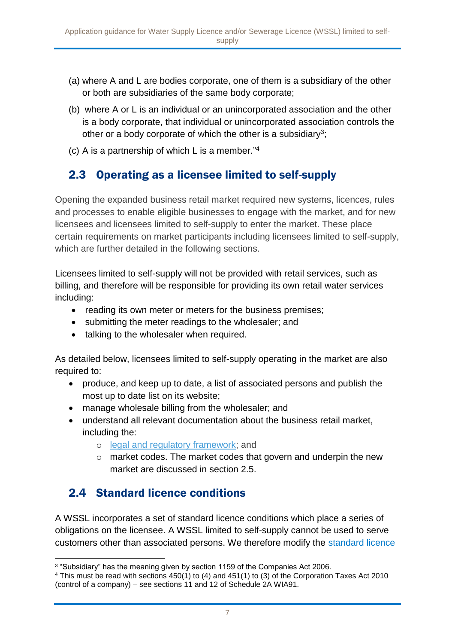- (a) where A and L are bodies corporate, one of them is a subsidiary of the other or both are subsidiaries of the same body corporate;
- (b) where A or L is an individual or an unincorporated association and the other is a body corporate, that individual or unincorporated association controls the other or a body corporate of which the other is a subsidiary<sup>3</sup>;
- (c) A is a partnership of which L is a member." 4

# 2.3 Operating as a licensee limited to self-supply

Opening the expanded business retail market required new systems, licences, rules and processes to enable eligible businesses to engage with the market, and for new licensees and licensees limited to self-supply to enter the market. These place certain requirements on market participants including licensees limited to self-supply, which are further detailed in the following sections.

Licensees limited to self-supply will not be provided with retail services, such as billing, and therefore will be responsible for providing its own retail water services including:

- reading its own meter or meters for the business premises;
- submitting the meter readings to the wholesaler; and
- talking to the wholesaler when required.

As detailed below, licensees limited to self-supply operating in the market are also required to:

- produce, and keep up to date, a list of associated persons and publish the most up to date list on its website;
- manage wholesale billing from the wholesaler; and
- understand all relevant documentation about the business retail market, including the:
	- o [legal and regulatory framework;](https://064f1d25f5a6fb0868ac-0df48efcb31bcf2ed0366d316cab9ab8.ssl.cf3.rackcdn.com/wp-content/uploads/2017/02/Legal-framework-for-retail-market-opening-updated-February-2017.pdf) and
	- o market codes. The market codes that govern and underpin the new market are discussed in section 2.5.

## 2.4 Standard licence conditions

A WSSL incorporates a set of standard licence conditions which place a series of obligations on the licensee. A WSSL limited to self-supply cannot be used to serve customers other than associated persons. We therefore modify the [standard licence](https://www.gov.uk/government/uploads/system/uploads/attachment_data/file/508326/wssl-licence-conditions-2016.pdf) 

<sup>1</sup> <sup>3</sup> "Subsidiary" has the meaning given by section 1159 of the Companies Act 2006.

<sup>4</sup> This must be read with sections 450(1) to (4) and 451(1) to (3) of the Corporation Taxes Act 2010 (control of a company) – see sections 11 and 12 of Schedule 2A WIA91.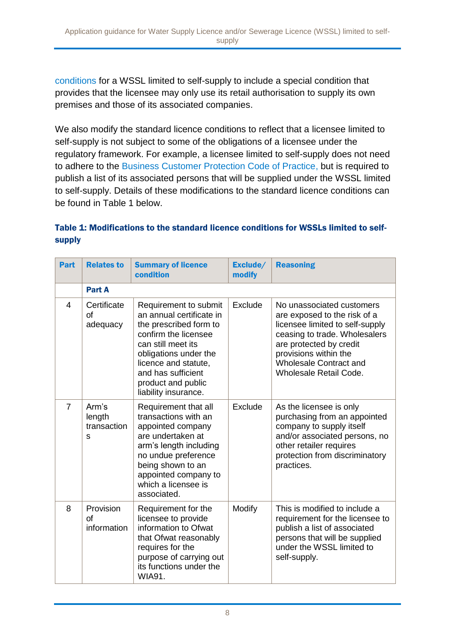[conditions](https://www.gov.uk/government/uploads/system/uploads/attachment_data/file/508326/wssl-licence-conditions-2016.pdf) for a WSSL limited to self-supply to include a special condition that provides that the licensee may only use its retail authorisation to supply its own premises and those of its associated companies.

We also modify the standard licence conditions to reflect that a licensee limited to self-supply is not subject to some of the obligations of a licensee under the regulatory framework. For example, a licensee limited to self-supply does not need to adhere to the [Business Customer Protection Code of Practice,](https://064f1d25f5a6fb0868ac-0df48efcb31bcf2ed0366d316cab9ab8.ssl.cf3.rackcdn.com/wp-content/uploads/2017/03/Customer-Protection-Code-of-Practice.pdf) but is required to publish a list of its associated persons that will be supplied under the WSSL limited to self-supply. Details of these modifications to the standard licence conditions can be found in Table 1 below.

#### Table 1: Modifications to the standard licence conditions for WSSLs limited to selfsupply

| <b>Part</b>    | <b>Relates to</b>                   | <b>Summary of licence</b><br>condition                                                                                                                                                                                                         | Exclude/<br>modify | <b>Reasoning</b>                                                                                                                                                                                                                                    |  |  |  |  |  |
|----------------|-------------------------------------|------------------------------------------------------------------------------------------------------------------------------------------------------------------------------------------------------------------------------------------------|--------------------|-----------------------------------------------------------------------------------------------------------------------------------------------------------------------------------------------------------------------------------------------------|--|--|--|--|--|
|                | <b>Part A</b>                       |                                                                                                                                                                                                                                                |                    |                                                                                                                                                                                                                                                     |  |  |  |  |  |
| $\overline{4}$ | Certificate<br>of<br>adequacy       | Requirement to submit<br>an annual certificate in<br>the prescribed form to<br>confirm the licensee<br>can still meet its<br>obligations under the<br>licence and statute,<br>and has sufficient<br>product and public<br>liability insurance. | Exclude            | No unassociated customers<br>are exposed to the risk of a<br>licensee limited to self-supply<br>ceasing to trade. Wholesalers<br>are protected by credit<br>provisions within the<br><b>Wholesale Contract and</b><br><b>Wholesale Retail Code.</b> |  |  |  |  |  |
| $\overline{7}$ | Arm's<br>length<br>transaction<br>S | Requirement that all<br>transactions with an<br>appointed company<br>are undertaken at<br>arm's length including<br>no undue preference<br>being shown to an<br>appointed company to<br>which a licensee is<br>associated.                     | Exclude            | As the licensee is only<br>purchasing from an appointed<br>company to supply itself<br>and/or associated persons, no<br>other retailer requires<br>protection from discriminatory<br>practices.                                                     |  |  |  |  |  |
| 8              | Provision<br>of<br>information      | Modify<br>Requirement for the<br>licensee to provide<br>information to Ofwat<br>that Ofwat reasonably<br>requires for the<br>purpose of carrying out<br>its functions under the<br><b>WIA91.</b>                                               |                    | This is modified to include a<br>requirement for the licensee to<br>publish a list of associated<br>persons that will be supplied<br>under the WSSL limited to<br>self-supply.                                                                      |  |  |  |  |  |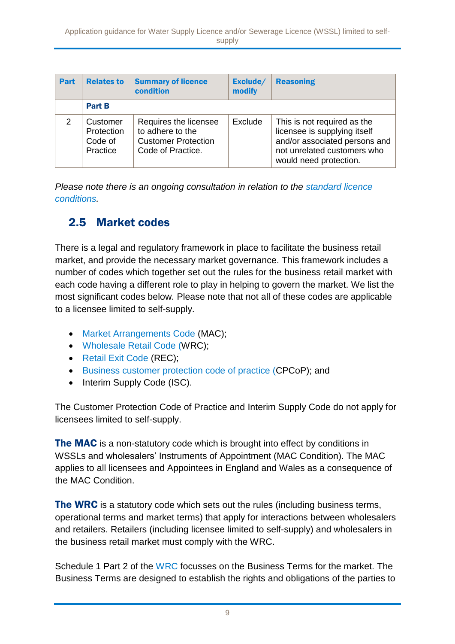| Part          | <b>Relates to</b>                             | <b>Summary of licence</b><br>condition                                                       | Exclude/<br>modify | <b>Reasoning</b>                                                                                                                                      |
|---------------|-----------------------------------------------|----------------------------------------------------------------------------------------------|--------------------|-------------------------------------------------------------------------------------------------------------------------------------------------------|
|               | <b>Part B</b>                                 |                                                                                              |                    |                                                                                                                                                       |
| $\mathcal{P}$ | Customer<br>Protection<br>Code of<br>Practice | Requires the licensee<br>to adhere to the<br><b>Customer Protection</b><br>Code of Practice. | Exclude            | This is not required as the<br>licensee is supplying itself<br>and/or associated persons and<br>not unrelated customers who<br>would need protection. |

*Please note there is an ongoing consultation in relation to the [standard licence](https://www.ofwat.gov.uk/consultation/proposal-by-ofwat-to-modify-the-standard-licence-conditions-that-apply-to-water-supply-licences-and-sewerage-licences/)  [conditions.](https://www.ofwat.gov.uk/consultation/proposal-by-ofwat-to-modify-the-standard-licence-conditions-that-apply-to-water-supply-licences-and-sewerage-licences/)* 

### 2.5 Market codes

There is a legal and regulatory framework in place to facilitate the business retail market, and provide the necessary market governance. This framework includes a number of codes which together set out the rules for the business retail market with each code having a different role to play in helping to govern the market. We list the most significant codes below. Please note that not all of these codes are applicable to a licensee limited to self-supply.

- [Market Arrangements Code](https://www.mosl.co.uk/market-codes/codes) (MAC);
- [Wholesale Retail Code](https://www.mosl.co.uk/market-codes/codes) (WRC);
- [Retail Exit Code \(REC\);](https://www.mosl.co.uk/market-codes/codes)
- [Business customer protection code of practice](https://064f1d25f5a6fb0868ac-0df48efcb31bcf2ed0366d316cab9ab8.ssl.cf3.rackcdn.com/wp-content/uploads/2017/03/Customer-Protection-Code-of-Practice.pdf) (CPCoP); and
- Interim Supply Code (ISC).

The Customer Protection Code of Practice and Interim Supply Code do not apply for licensees limited to self-supply.

The MAC is a non-statutory code which is brought into effect by conditions in WSSLs and wholesalers' Instruments of Appointment (MAC Condition). The MAC applies to all licensees and Appointees in England and Wales as a consequence of the MAC Condition.

**The WRC** is a statutory code which sets out the rules (including business terms, operational terms and market terms) that apply for interactions between wholesalers and retailers. Retailers (including licensee limited to self-supply) and wholesalers in the business retail market must comply with the WRC.

Schedule 1 Part 2 of the [WRC](https://www.mosl.co.uk/market-codes/codes) focusses on the Business Terms for the market. The Business Terms are designed to establish the rights and obligations of the parties to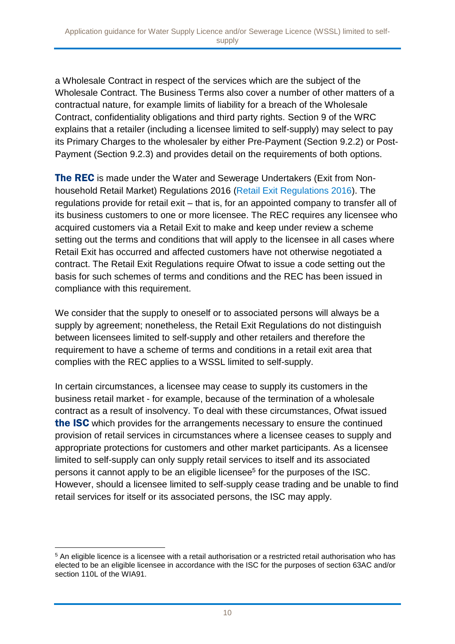a Wholesale Contract in respect of the services which are the subject of the Wholesale Contract. The Business Terms also cover a number of other matters of a contractual nature, for example limits of liability for a breach of the Wholesale Contract, confidentiality obligations and third party rights. Section 9 of the WRC explains that a retailer (including a licensee limited to self-supply) may select to pay its Primary Charges to the wholesaler by either Pre-Payment (Section 9.2.2) or Post-Payment (Section 9.2.3) and provides detail on the requirements of both options.

**The REC** is made under the Water and Sewerage Undertakers (Exit from Nonhousehold Retail Market) Regulations 2016 [\(Retail Exit Regulations 2016\)](https://ofwat.sharepoint.com/sites/rms/pr-moe/fp-lp/17%2009%20Revisions%20to%20WSSL%20guidance%20and%20application%20form%20(inc.%20self-supply)/Policy%20and%20analysis/The%20Water%20and%20Sewerage%20Undertakers%20(Exit%20from%20Non-household%20Retail%20Market)%20Regulations%202016). The regulations provide for retail exit – that is, for an appointed company to transfer all of its business customers to one or more licensee. The REC requires any licensee who acquired customers via a Retail Exit to make and keep under review a scheme setting out the terms and conditions that will apply to the licensee in all cases where Retail Exit has occurred and affected customers have not otherwise negotiated a contract. The Retail Exit Regulations require Ofwat to issue a code setting out the basis for such schemes of terms and conditions and the REC has been issued in compliance with this requirement.

We consider that the supply to oneself or to associated persons will always be a supply by agreement; nonetheless, the Retail Exit Regulations do not distinguish between licensees limited to self-supply and other retailers and therefore the requirement to have a scheme of terms and conditions in a retail exit area that complies with the REC applies to a WSSL limited to self-supply.

In certain circumstances, a licensee may cease to supply its customers in the business retail market - for example, because of the termination of a wholesale contract as a result of insolvency. To deal with these circumstances, Ofwat issued the ISC which provides for the arrangements necessary to ensure the continued provision of retail services in circumstances where a licensee ceases to supply and appropriate protections for customers and other market participants. As a licensee limited to self-supply can only supply retail services to itself and its associated persons it cannot apply to be an eligible licensee<sup>5</sup> for the purposes of the ISC. However, should a licensee limited to self-supply cease trading and be unable to find retail services for itself or its associated persons, the ISC may apply.

1

<sup>5</sup> An eligible licence is a licensee with a retail authorisation or a restricted retail authorisation who has elected to be an eligible licensee in accordance with the ISC for the purposes of section 63AC and/or section 110L of the WIA91.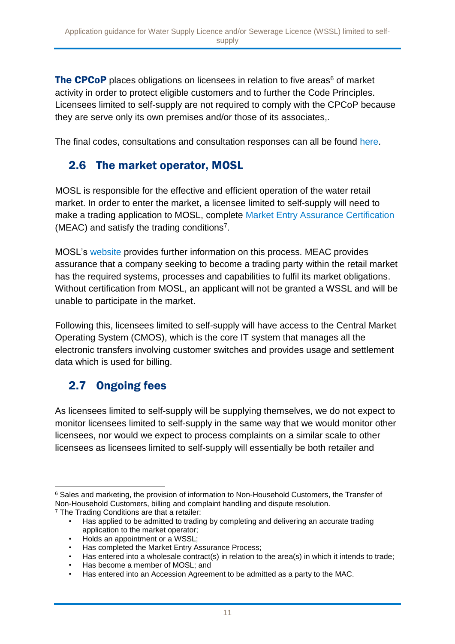The CPCoP places obligations on licensees in relation to five areas<sup>6</sup> of market activity in order to protect eligible customers and to further the Code Principles. Licensees limited to self-supply are not required to comply with the CPCoP because they are serve only its own premises and/or those of its associates,.

The final codes, consultations and consultation responses can all be found [here.](https://www.mosl.co.uk/market-codes/codes)

### 2.6 The market operator, MOSL

MOSL is responsible for the effective and efficient operation of the water retail market. In order to enter the market, a licensee limited to self-supply will need to make a trading application to MOSL, complete [Market Entry Assurance Certification](https://www.mosl.co.uk/wp-content/uploads/2016/03/MEAC-Overview-Process-slides-FINAL.pdf) (MEAC) and satisfy the trading conditions<sup>7</sup> .

MOSL's [website](https://www.mosl.co.uk/market-entry-change-exit/market-entry/market-entry-assurance) provides further information on this process. MEAC provides assurance that a company seeking to become a trading party within the retail market has the required systems, processes and capabilities to fulfil its market obligations. Without certification from MOSL, an applicant will not be granted a WSSL and will be unable to participate in the market.

Following this, licensees limited to self-supply will have access to the Central Market Operating System (CMOS), which is the core IT system that manages all the electronic transfers involving customer switches and provides usage and settlement data which is used for billing.

## 2.7 Ongoing fees

As licensees limited to self-supply will be supplying themselves, we do not expect to monitor licensees limited to self-supply in the same way that we would monitor other licensees, nor would we expect to process complaints on a similar scale to other licensees as licensees limited to self-supply will essentially be both retailer and

- Has entered into a wholesale contract(s) in relation to the area(s) in which it intends to trade;
- Has become a member of MOSL; and

<sup>1</sup> <sup>6</sup> Sales and marketing, the provision of information to Non-Household Customers, the Transfer of Non-Household Customers, billing and complaint handling and dispute resolution. <sup>7</sup> The Trading Conditions are that a retailer:

<sup>•</sup> Has applied to be admitted to trading by completing and delivering an accurate trading application to the market operator;

<sup>•</sup> Holds an appointment or a WSSL;

<sup>•</sup> Has completed the Market Entry Assurance Process;

<sup>•</sup> Has entered into an Accession Agreement to be admitted as a party to the MAC.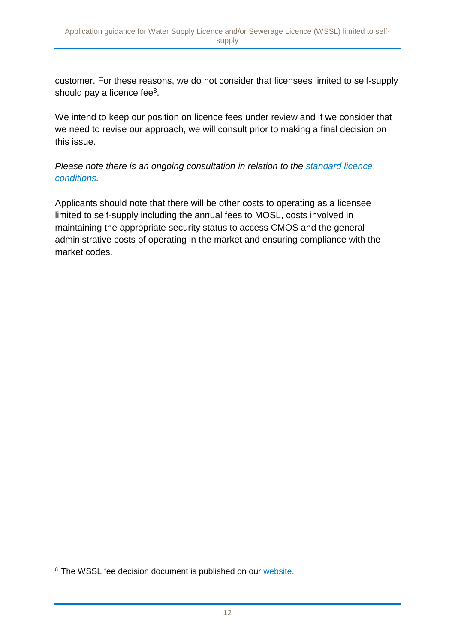customer. For these reasons, we do not consider that licensees limited to self-supply should pay a licence fee<sup>8</sup>.

We intend to keep our position on licence fees under review and if we consider that we need to revise our approach, we will consult prior to making a final decision on this issue.

*Please note there is an ongoing consultation in relation to the [standard licence](https://www.ofwat.gov.uk/consultation/proposal-by-ofwat-to-modify-the-standard-licence-conditions-that-apply-to-water-supply-licences-and-sewerage-licences/)  [conditions.](https://www.ofwat.gov.uk/consultation/proposal-by-ofwat-to-modify-the-standard-licence-conditions-that-apply-to-water-supply-licences-and-sewerage-licences/)*

Applicants should note that there will be other costs to operating as a licensee limited to self-supply including the annual fees to MOSL, costs involved in maintaining the appropriate security status to access CMOS and the general administrative costs of operating in the market and ensuring compliance with the market codes.

1

<sup>8</sup> The WSSL fee decision document is published on our [website.](https://www.ofwat.gov.uk/wp-content/uploads/2016/10/17-03-09-WSSL-Licence-fee-consultation-Summary-of-responses-and-conclusions.pdf)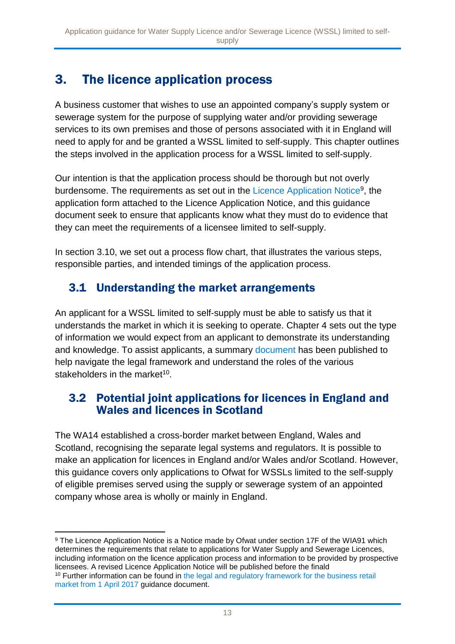# 3. The licence application process

A business customer that wishes to use an appointed company's supply system or sewerage system for the purpose of supplying water and/or providing sewerage services to its own premises and those of persons associated with it in England will need to apply for and be granted a WSSL limited to self-supply. This chapter outlines the steps involved in the application process for a WSSL limited to self-supply.

Our intention is that the application process should be thorough but not overly burdensome. The requirements as set out in the [Licence Application Notice](http://www.ofwat.gov.uk/publication/notice-determination-section-17f1-regarding-applications-water-supply-sewerage-licences/)<sup>9</sup>, the application form attached to the Licence Application Notice, and this guidance document seek to ensure that applicants know what they must do to evidence that they can meet the requirements of a licensee limited to self-supply.

In section 3.10, we set out a process flow chart, that illustrates the various steps, responsible parties, and intended timings of the application process.

### 3.1 Understanding the market arrangements

An applicant for a WSSL limited to self-supply must be able to satisfy us that it understands the market in which it is seeking to operate. Chapter 4 sets out the type of information we would expect from an applicant to demonstrate its understanding and knowledge. To assist applicants, a summary [document](https://www.ofwat.gov.uk/wp-content/uploads/2015/10/pap_tec20151030rmolegaloverview.pdf) has been published to help navigate the legal framework and understand the roles of the various stakeholders in the market<sup>10</sup>.

### 3.2 Potential joint applications for licences in England and Wales and licences in Scotland

The WA14 established a cross-border market between England, Wales and Scotland, recognising the separate legal systems and regulators. It is possible to make an application for licences in England and/or Wales and/or Scotland. However, this guidance covers only applications to Ofwat for WSSLs limited to the self-supply of eligible premises served using the supply or sewerage system of an appointed company whose area is wholly or mainly in England.

<sup>1</sup> <sup>9</sup> The Licence Application Notice is a Notice made by Ofwat under section 17F of the WIA91 which determines the requirements that relate to applications for Water Supply and Sewerage Licences, including information on the licence application process and information to be provided by prospective licensees. A revised Licence Application Notice will be published before the finald <sup>10</sup> Further information can be found in the legal and regulatory framework for the business retail [market from 1 April 2017](https://www.ofwat.gov.uk/wp-content/uploads/2017/03/The-legal-and-regulatory-framework-for-the-business-retail-market-from-1-April-2017-final.pdf) guidance document.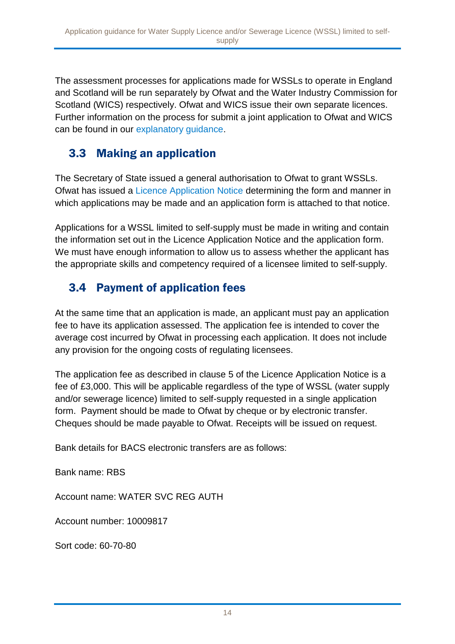The assessment processes for applications made for WSSLs to operate in England and Scotland will be run separately by Ofwat and the Water Industry Commission for Scotland (WICS) respectively. Ofwat and WICS issue their own separate licences. Further information on the process for submit a joint application to Ofwat and WICS can be found in our [explanatory guidance.](https://www.ofwat.gov.uk/wp-content/uploads/2016/04/gud_pro20160404crossborderlicence.pdf)

### 3.3 Making an application

The Secretary of State issued a general authorisation to Ofwat to grant WSSLs. Ofwat has issued a [Licence Application Notice](https://064f1d25f5a6fb0868ac-0df48efcb31bcf2ed0366d316cab9ab8.ssl.cf3.rackcdn.com/wp-content/uploads/2016/04/Second-licence-application-notice-FINAL.pdf) determining the form and manner in which applications may be made and an application form is attached to that notice.

Applications for a WSSL limited to self-supply must be made in writing and contain the information set out in the Licence Application Notice and the application form. We must have enough information to allow us to assess whether the applicant has the appropriate skills and competency required of a licensee limited to self-supply.

# 3.4 Payment of application fees

At the same time that an application is made, an applicant must pay an application fee to have its application assessed. The application fee is intended to cover the average cost incurred by Ofwat in processing each application. It does not include any provision for the ongoing costs of regulating licensees.

The application fee as described in clause 5 of the Licence Application Notice is a fee of £3,000. This will be applicable regardless of the type of WSSL (water supply and/or sewerage licence) limited to self-supply requested in a single application form. Payment should be made to Ofwat by cheque or by electronic transfer. Cheques should be made payable to Ofwat. Receipts will be issued on request.

Bank details for BACS electronic transfers are as follows:

Bank name: RBS

Account name: WATER SVC REG AUTH

Account number: 10009817

Sort code: 60-70-80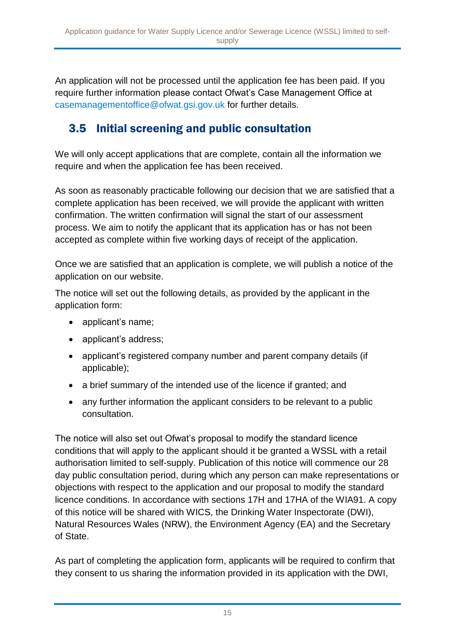An application will not be processed until the application fee has been paid. If you require further information please contact Ofwat's Case Management Office at [casemanagementoffice@ofwat.gsi.gov.uk](mailto:casemanagementoffice@ofwat.gsi.gov.uk) for further details.

# 3.5 Initial screening and public consultation

We will only accept applications that are complete, contain all the information we require and when the application fee has been received.

As soon as reasonably practicable following our decision that we are satisfied that a complete application has been received, we will provide the applicant with written confirmation. The written confirmation will signal the start of our assessment process. We aim to notify the applicant that its application has or has not been accepted as complete within five working days of receipt of the application.

Once we are satisfied that an application is complete, we will publish a notice of the application on our website.

The notice will set out the following details, as provided by the applicant in the application form:

- applicant's name;
- applicant's address;
- applicant's registered company number and parent company details (if applicable);
- a brief summary of the intended use of the licence if granted; and
- any further information the applicant considers to be relevant to a public consultation.

The notice will also set out Ofwat's proposal to modify the standard licence conditions that will apply to the applicant should it be granted a WSSL with a retail authorisation limited to self-supply. Publication of this notice will commence our 28 day public consultation period, during which any person can make representations or objections with respect to the application and our proposal to modify the standard licence conditions. In accordance with sections 17H and 17HA of the WIA91. A copy of this notice will be shared with WICS, the Drinking Water Inspectorate (DWI), Natural Resources Wales (NRW), the Environment Agency (EA) and the Secretary of State.

As part of completing the application form, applicants will be required to confirm that they consent to us sharing the information provided in its application with the DWI,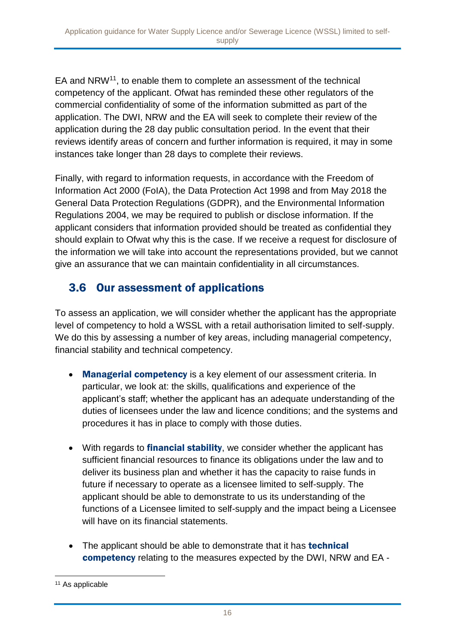EA and NRW<sup>11</sup>, to enable them to complete an assessment of the technical competency of the applicant. Ofwat has reminded these other regulators of the commercial confidentiality of some of the information submitted as part of the application. The DWI, NRW and the EA will seek to complete their review of the application during the 28 day public consultation period. In the event that their reviews identify areas of concern and further information is required, it may in some instances take longer than 28 days to complete their reviews.

Finally, with regard to information requests, in accordance with the Freedom of Information Act 2000 (FoIA), the Data Protection Act 1998 and from May 2018 the General Data Protection Regulations (GDPR), and the Environmental Information Regulations 2004, we may be required to publish or disclose information. If the applicant considers that information provided should be treated as confidential they should explain to Ofwat why this is the case. If we receive a request for disclosure of the information we will take into account the representations provided, but we cannot give an assurance that we can maintain confidentiality in all circumstances.

### 3.6 Our assessment of applications

To assess an application, we will consider whether the applicant has the appropriate level of competency to hold a WSSL with a retail authorisation limited to self-supply. We do this by assessing a number of key areas, including managerial competency, financial stability and technical competency.

- Managerial competency is a key element of our assessment criteria. In particular, we look at: the skills, qualifications and experience of the applicant's staff; whether the applicant has an adequate understanding of the duties of licensees under the law and licence conditions; and the systems and procedures it has in place to comply with those duties.
- With regards to **financial stability**, we consider whether the applicant has sufficient financial resources to finance its obligations under the law and to deliver its business plan and whether it has the capacity to raise funds in future if necessary to operate as a licensee limited to self-supply. The applicant should be able to demonstrate to us its understanding of the functions of a Licensee limited to self-supply and the impact being a Licensee will have on its financial statements.
- The applicant should be able to demonstrate that it has **technical** competency relating to the measures expected by the DWI, NRW and EA -

<sup>1</sup> <sup>11</sup> As applicable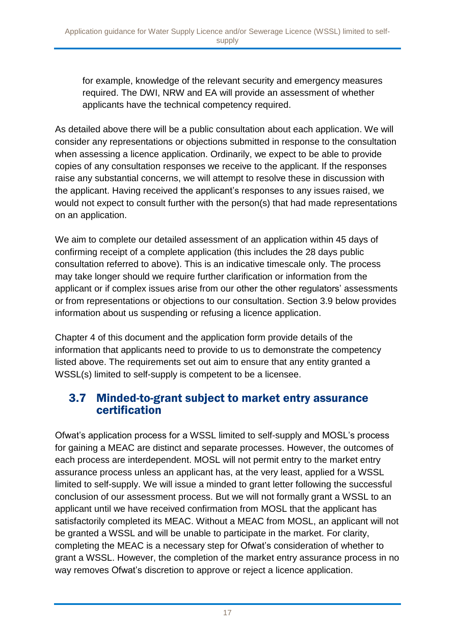for example, knowledge of the relevant security and emergency measures required. The DWI, NRW and EA will provide an assessment of whether applicants have the technical competency required.

As detailed above there will be a public consultation about each application. We will consider any representations or objections submitted in response to the consultation when assessing a licence application. Ordinarily, we expect to be able to provide copies of any consultation responses we receive to the applicant. If the responses raise any substantial concerns, we will attempt to resolve these in discussion with the applicant. Having received the applicant's responses to any issues raised, we would not expect to consult further with the person(s) that had made representations on an application.

We aim to complete our detailed assessment of an application within 45 days of confirming receipt of a complete application (this includes the 28 days public consultation referred to above). This is an indicative timescale only. The process may take longer should we require further clarification or information from the applicant or if complex issues arise from our other the other regulators' assessments or from representations or objections to our consultation. Section 3.9 below provides information about us suspending or refusing a licence application.

Chapter 4 of this document and the application form provide details of the information that applicants need to provide to us to demonstrate the competency listed above. The requirements set out aim to ensure that any entity granted a WSSL(s) limited to self-supply is competent to be a licensee.

### 3.7 Minded-to-grant subject to market entry assurance certification

Ofwat's application process for a WSSL limited to self-supply and MOSL's process for gaining a MEAC are distinct and separate processes. However, the outcomes of each process are interdependent. MOSL will not permit entry to the market entry assurance process unless an applicant has, at the very least, applied for a WSSL limited to self-supply. We will issue a minded to grant letter following the successful conclusion of our assessment process. But we will not formally grant a WSSL to an applicant until we have received confirmation from MOSL that the applicant has satisfactorily completed its MEAC. Without a MEAC from MOSL, an applicant will not be granted a WSSL and will be unable to participate in the market. For clarity, completing the MEAC is a necessary step for Ofwat's consideration of whether to grant a WSSL. However, the completion of the market entry assurance process in no way removes Ofwat's discretion to approve or reject a licence application.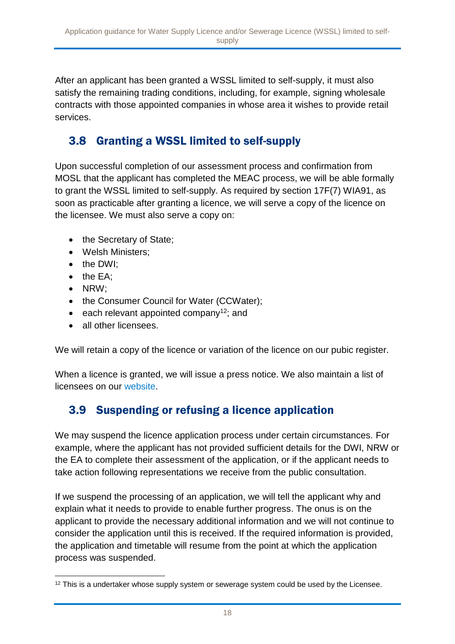After an applicant has been granted a WSSL limited to self-supply, it must also satisfy the remaining trading conditions, including, for example, signing wholesale contracts with those appointed companies in whose area it wishes to provide retail services.

# 3.8 Granting a WSSL limited to self-supply

Upon successful completion of our assessment process and confirmation from MOSL that the applicant has completed the MEAC process, we will be able formally to grant the WSSL limited to self-supply. As required by section 17F(7) WIA91, as soon as practicable after granting a licence, we will serve a copy of the licence on the licensee. We must also serve a copy on:

- the Secretary of State;
- Welsh Ministers;
- the DWI:
- $\bullet$  the EA;
- NRW;
- the Consumer Council for Water (CCWater);
- $\bullet$  each relevant appointed company<sup>12</sup>; and
- all other licensees.

We will retain a copy of the licence or variation of the licence on our pubic register.

When a licence is granted, we will issue a press notice. We also maintain a list of licensees on our [website.](https://www.ofwat.gov.uk/regulated-companies/ofwat-industry-overview/licences/)

# 3.9 Suspending or refusing a licence application

We may suspend the licence application process under certain circumstances. For example, where the applicant has not provided sufficient details for the DWI, NRW or the EA to complete their assessment of the application, or if the applicant needs to take action following representations we receive from the public consultation.

If we suspend the processing of an application, we will tell the applicant why and explain what it needs to provide to enable further progress. The onus is on the applicant to provide the necessary additional information and we will not continue to consider the application until this is received. If the required information is provided, the application and timetable will resume from the point at which the application process was suspended.

<sup>1</sup> <sup>12</sup> This is a undertaker whose supply system or sewerage system could be used by the Licensee.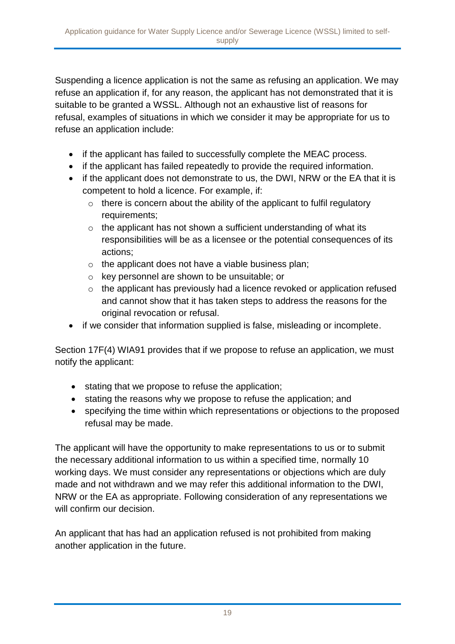Suspending a licence application is not the same as refusing an application. We may refuse an application if, for any reason, the applicant has not demonstrated that it is suitable to be granted a WSSL. Although not an exhaustive list of reasons for refusal, examples of situations in which we consider it may be appropriate for us to refuse an application include:

- if the applicant has failed to successfully complete the MEAC process.
- if the applicant has failed repeatedly to provide the required information.
- if the applicant does not demonstrate to us, the DWI, NRW or the EA that it is competent to hold a licence. For example, if:
	- $\circ$  there is concern about the ability of the applicant to fulfil regulatory requirements;
	- $\circ$  the applicant has not shown a sufficient understanding of what its responsibilities will be as a licensee or the potential consequences of its actions;
	- o the applicant does not have a viable business plan;
	- o key personnel are shown to be unsuitable; or
	- o the applicant has previously had a licence revoked or application refused and cannot show that it has taken steps to address the reasons for the original revocation or refusal.
- if we consider that information supplied is false, misleading or incomplete.

Section 17F(4) WIA91 provides that if we propose to refuse an application, we must notify the applicant:

- stating that we propose to refuse the application;
- stating the reasons why we propose to refuse the application; and
- specifying the time within which representations or objections to the proposed refusal may be made.

The applicant will have the opportunity to make representations to us or to submit the necessary additional information to us within a specified time, normally 10 working days. We must consider any representations or objections which are duly made and not withdrawn and we may refer this additional information to the DWI, NRW or the EA as appropriate. Following consideration of any representations we will confirm our decision.

An applicant that has had an application refused is not prohibited from making another application in the future.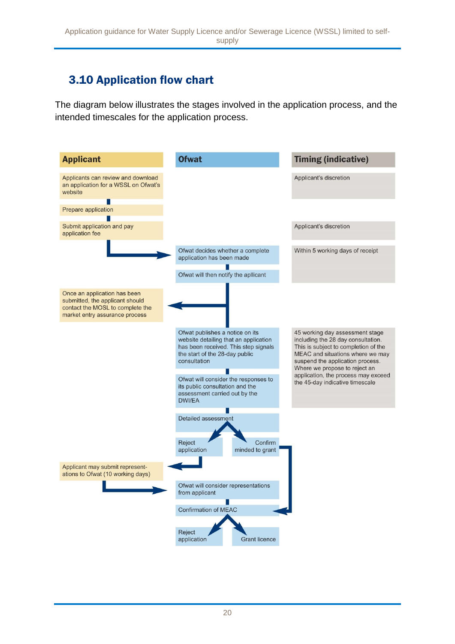# 3.10 Application flow chart

The diagram below illustrates the stages involved in the application process, and the intended timescales for the application process.

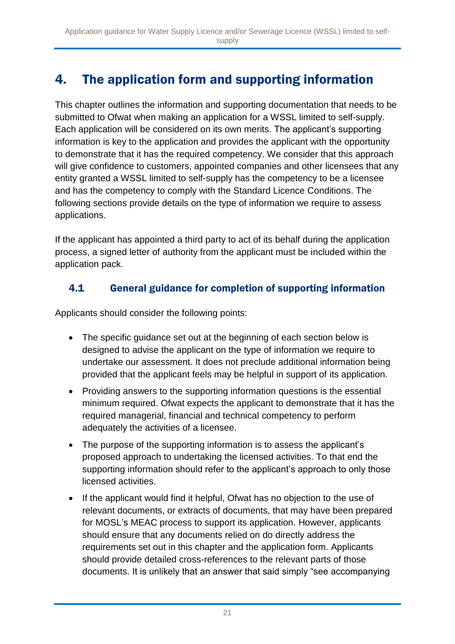# 4. The application form and supporting information

This chapter outlines the information and supporting documentation that needs to be submitted to Ofwat when making an application for a WSSL limited to self-supply. Each application will be considered on its own merits. The applicant's supporting information is key to the application and provides the applicant with the opportunity to demonstrate that it has the required competency. We consider that this approach will give confidence to customers, appointed companies and other licensees that any entity granted a WSSL limited to self-supply has the competency to be a licensee and has the competency to comply with the Standard Licence Conditions. The following sections provide details on the type of information we require to assess applications.

If the applicant has appointed a third party to act of its behalf during the application process, a signed letter of authority from the applicant must be included within the application pack.

### 4.1 General guidance for completion of supporting information

Applicants should consider the following points:

- The specific guidance set out at the beginning of each section below is designed to advise the applicant on the type of information we require to undertake our assessment. It does not preclude additional information being provided that the applicant feels may be helpful in support of its application.
- Providing answers to the supporting information questions is the essential minimum required. Ofwat expects the applicant to demonstrate that it has the required managerial, financial and technical competency to perform adequately the activities of a licensee.
- The purpose of the supporting information is to assess the applicant's proposed approach to undertaking the licensed activities. To that end the supporting information should refer to the applicant's approach to only those licensed activities.
- If the applicant would find it helpful, Ofwat has no objection to the use of relevant documents, or extracts of documents, that may have been prepared for MOSL's MEAC process to support its application. However, applicants should ensure that any documents relied on do directly address the requirements set out in this chapter and the application form. Applicants should provide detailed cross-references to the relevant parts of those documents. It is unlikely that an answer that said simply "see accompanying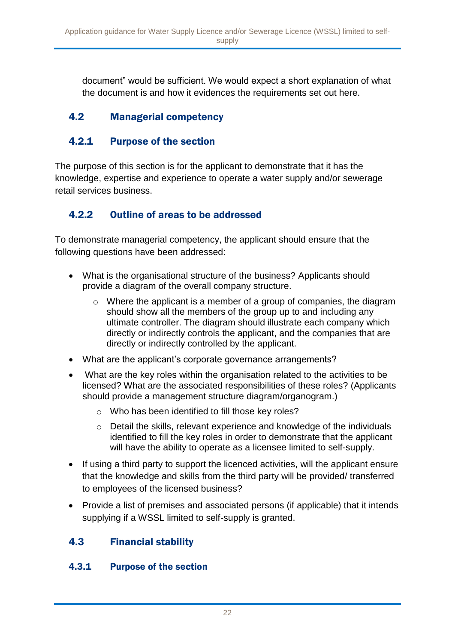document" would be sufficient. We would expect a short explanation of what the document is and how it evidences the requirements set out here.

### 4.2 Managerial competency

### 4.2.1 Purpose of the section

The purpose of this section is for the applicant to demonstrate that it has the knowledge, expertise and experience to operate a water supply and/or sewerage retail services business.

### 4.2.2 Outline of areas to be addressed

To demonstrate managerial competency, the applicant should ensure that the following questions have been addressed:

- What is the organisational structure of the business? Applicants should provide a diagram of the overall company structure.
	- o Where the applicant is a member of a group of companies, the diagram should show all the members of the group up to and including any ultimate controller. The diagram should illustrate each company which directly or indirectly controls the applicant, and the companies that are directly or indirectly controlled by the applicant.
- What are the applicant's corporate governance arrangements?
- What are the key roles within the organisation related to the activities to be licensed? What are the associated responsibilities of these roles? (Applicants should provide a management structure diagram/organogram.)
	- o Who has been identified to fill those key roles?
	- o Detail the skills, relevant experience and knowledge of the individuals identified to fill the key roles in order to demonstrate that the applicant will have the ability to operate as a licensee limited to self-supply.
- If using a third party to support the licenced activities, will the applicant ensure that the knowledge and skills from the third party will be provided/ transferred to employees of the licensed business?
- Provide a list of premises and associated persons (if applicable) that it intends supplying if a WSSL limited to self-supply is granted.

### 4.3 Financial stability

#### 4.3.1 Purpose of the section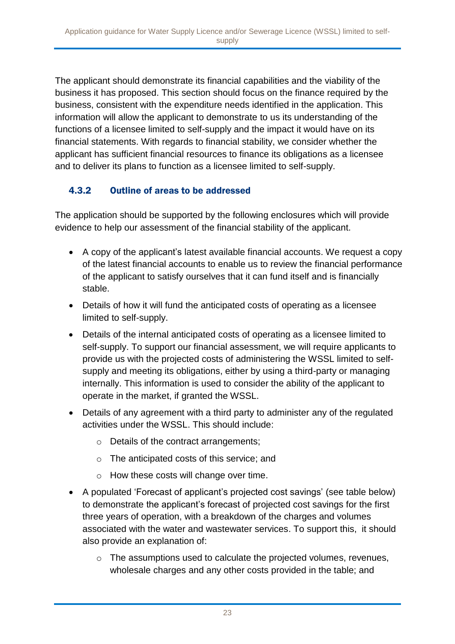The applicant should demonstrate its financial capabilities and the viability of the business it has proposed. This section should focus on the finance required by the business, consistent with the expenditure needs identified in the application. This information will allow the applicant to demonstrate to us its understanding of the functions of a licensee limited to self-supply and the impact it would have on its financial statements. With regards to financial stability, we consider whether the applicant has sufficient financial resources to finance its obligations as a licensee and to deliver its plans to function as a licensee limited to self-supply.

#### 4.3.2 Outline of areas to be addressed

The application should be supported by the following enclosures which will provide evidence to help our assessment of the financial stability of the applicant.

- A copy of the applicant's latest available financial accounts. We request a copy of the latest financial accounts to enable us to review the financial performance of the applicant to satisfy ourselves that it can fund itself and is financially stable.
- Details of how it will fund the anticipated costs of operating as a licensee limited to self-supply.
- Details of the internal anticipated costs of operating as a licensee limited to self-supply. To support our financial assessment, we will require applicants to provide us with the projected costs of administering the WSSL limited to selfsupply and meeting its obligations, either by using a third-party or managing internally. This information is used to consider the ability of the applicant to operate in the market, if granted the WSSL.
- Details of any agreement with a third party to administer any of the regulated activities under the WSSL. This should include:
	- o Details of the contract arrangements;
	- o The anticipated costs of this service; and
	- o How these costs will change over time.
- A populated 'Forecast of applicant's projected cost savings' (see table below) to demonstrate the applicant's forecast of projected cost savings for the first three years of operation, with a breakdown of the charges and volumes associated with the water and wastewater services. To support this, it should also provide an explanation of:
	- o The assumptions used to calculate the projected volumes, revenues, wholesale charges and any other costs provided in the table; and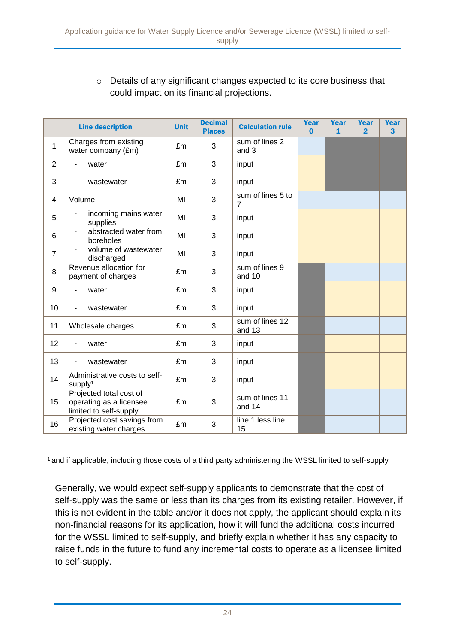#### o Details of any significant changes expected to its core business that could impact on its financial projections.

|                | <b>Line description</b>                                                      | <b>Unit</b> | <b>Decimal</b><br><b>Places</b> | <b>Calculation rule</b>             | Year<br>$\Omega$ | <b>Year</b><br>$\mathbf{1}$ | <b>Year</b><br>$\overline{2}$ | Year<br>3 |
|----------------|------------------------------------------------------------------------------|-------------|---------------------------------|-------------------------------------|------------------|-----------------------------|-------------------------------|-----------|
| $\mathbf{1}$   | Charges from existing<br>water company (£m)                                  | £m          | 3                               | sum of lines 2<br>and 3             |                  |                             |                               |           |
| $\overline{2}$ | water                                                                        | £m          | 3                               | input                               |                  |                             |                               |           |
| 3              | wastewater<br>-                                                              | £m          | 3                               | input                               |                  |                             |                               |           |
| 4              | Volume                                                                       | MI          | 3                               | sum of lines 5 to<br>$\overline{7}$ |                  |                             |                               |           |
| 5              | incoming mains water<br>supplies                                             | MI          | 3                               | input                               |                  |                             |                               |           |
| 6              | abstracted water from<br>$\overline{\phantom{0}}$<br>boreholes               | MI          | 3                               | input                               |                  |                             |                               |           |
| $\overline{7}$ | volume of wastewater<br>discharged                                           | MI          | 3                               | input                               |                  |                             |                               |           |
| 8              | Revenue allocation for<br>payment of charges                                 | £m          | 3                               | sum of lines 9<br>and 10            |                  |                             |                               |           |
| 9              | water                                                                        | £m          | 3                               | input                               |                  |                             |                               |           |
| 10             | wastewater                                                                   | £m          | 3                               | input                               |                  |                             |                               |           |
| 11             | Wholesale charges                                                            | £m          | 3                               | sum of lines 12<br>and 13           |                  |                             |                               |           |
| 12             | water                                                                        | £m          | 3                               | input                               |                  |                             |                               |           |
| 13             | wastewater                                                                   | £m          | 3                               | input                               |                  |                             |                               |           |
| 14             | Administrative costs to self-<br>supply <sup>1</sup>                         | £m          | 3                               | input                               |                  |                             |                               |           |
| 15             | Projected total cost of<br>operating as a licensee<br>limited to self-supply | £m          | 3                               | sum of lines 11<br>and 14           |                  |                             |                               |           |
| 16             | Projected cost savings from<br>existing water charges                        | £m          | 3                               | line 1 less line<br>15              |                  |                             |                               |           |

<sup>1</sup>and if applicable, including those costs of a third party administering the WSSL limited to self-supply

Generally, we would expect self-supply applicants to demonstrate that the cost of self-supply was the same or less than its charges from its existing retailer. However, if this is not evident in the table and/or it does not apply, the applicant should explain its non-financial reasons for its application, how it will fund the additional costs incurred for the WSSL limited to self-supply, and briefly explain whether it has any capacity to raise funds in the future to fund any incremental costs to operate as a licensee limited to self-supply.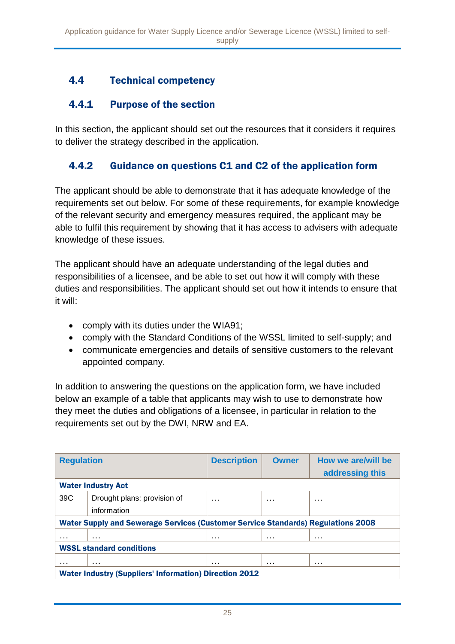### 4.4 Technical competency

### 4.4.1 Purpose of the section

In this section, the applicant should set out the resources that it considers it requires to deliver the strategy described in the application.

### 4.4.2 Guidance on questions C1 and C2 of the application form

The applicant should be able to demonstrate that it has adequate knowledge of the requirements set out below. For some of these requirements, for example knowledge of the relevant security and emergency measures required, the applicant may be able to fulfil this requirement by showing that it has access to advisers with adequate knowledge of these issues.

The applicant should have an adequate understanding of the legal duties and responsibilities of a licensee, and be able to set out how it will comply with these duties and responsibilities. The applicant should set out how it intends to ensure that it will:

- comply with its duties under the WIA91;
- comply with the Standard Conditions of the WSSL limited to self-supply; and
- communicate emergencies and details of sensitive customers to the relevant appointed company.

In addition to answering the questions on the application form, we have included below an example of a table that applicants may wish to use to demonstrate how they meet the duties and obligations of a licensee, in particular in relation to the requirements set out by the DWI, NRW and EA.

| <b>Regulation</b>                                                                       |                             | <b>Description</b> | <b>Owner</b> | How we are/will be |  |  |  |
|-----------------------------------------------------------------------------------------|-----------------------------|--------------------|--------------|--------------------|--|--|--|
|                                                                                         |                             |                    |              | addressing this    |  |  |  |
| <b>Water Industry Act</b>                                                               |                             |                    |              |                    |  |  |  |
| 39C                                                                                     | Drought plans: provision of | $\cdots$           | $\cdots$     | .                  |  |  |  |
|                                                                                         | information                 |                    |              |                    |  |  |  |
| <b>Water Supply and Sewerage Services (Customer Service Standards) Regulations 2008</b> |                             |                    |              |                    |  |  |  |
| .                                                                                       | $\cdots$                    | .                  | .            | $\cdots$           |  |  |  |
| <b>WSSL standard conditions</b>                                                         |                             |                    |              |                    |  |  |  |
| .                                                                                       | $\cdots$                    | $\cdots$           | $\cdots$     | $\cdots$           |  |  |  |
| <b>Water Industry (Suppliers' Information) Direction 2012</b>                           |                             |                    |              |                    |  |  |  |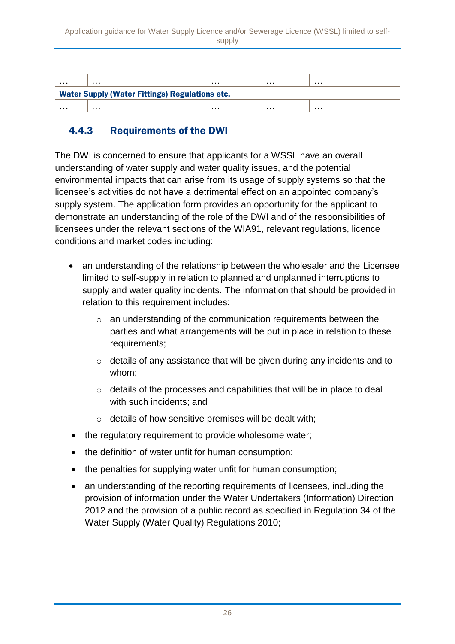| $\sim$ $\sim$ $\sim$                                        | . | . | . | . |  |  |  |
|-------------------------------------------------------------|---|---|---|---|--|--|--|
| <b>Water Supply (Water Fittings) Regulations etc.</b>       |   |   |   |   |  |  |  |
| $\sim$ $\sim$ $\sim$<br>$\sim$ $\sim$ $\sim$<br>.<br>.<br>. |   |   |   |   |  |  |  |

### 4.4.3 Requirements of the DWI

The DWI is concerned to ensure that applicants for a WSSL have an overall understanding of water supply and water quality issues, and the potential environmental impacts that can arise from its usage of supply systems so that the licensee's activities do not have a detrimental effect on an appointed company's supply system. The application form provides an opportunity for the applicant to demonstrate an understanding of the role of the DWI and of the responsibilities of licensees under the relevant sections of the WIA91, relevant regulations, licence conditions and market codes including:

- an understanding of the relationship between the wholesaler and the Licensee limited to self-supply in relation to planned and unplanned interruptions to supply and water quality incidents. The information that should be provided in relation to this requirement includes:
	- $\circ$  an understanding of the communication requirements between the parties and what arrangements will be put in place in relation to these requirements;
	- o details of any assistance that will be given during any incidents and to whom;
	- o details of the processes and capabilities that will be in place to deal with such incidents; and
	- o details of how sensitive premises will be dealt with;
- the regulatory requirement to provide wholesome water;
- the definition of water unfit for human consumption;
- the penalties for supplying water unfit for human consumption;
- an understanding of the reporting requirements of licensees, including the provision of information under the Water Undertakers (Information) Direction 2012 and the provision of a public record as specified in Regulation 34 of the Water Supply (Water Quality) Regulations 2010;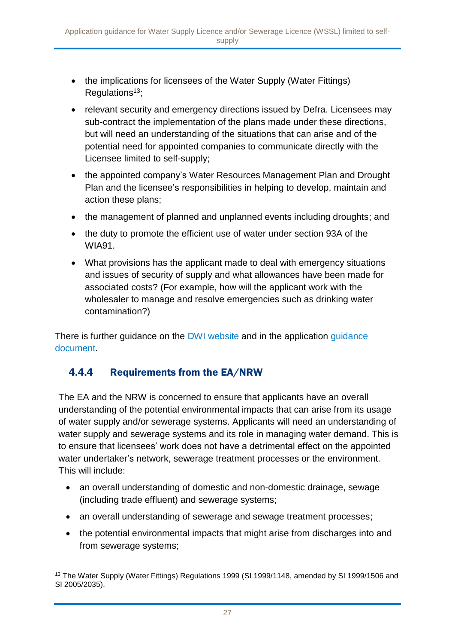- the implications for licensees of the Water Supply (Water Fittings) Regulations $13$ ;
- relevant security and emergency directions issued by Defra. Licensees may sub-contract the implementation of the plans made under these directions, but will need an understanding of the situations that can arise and of the potential need for appointed companies to communicate directly with the Licensee limited to self-supply;
- the appointed company's Water Resources Management Plan and Drought Plan and the licensee's responsibilities in helping to develop, maintain and action these plans;
- the management of planned and unplanned events including droughts; and
- the duty to promote the efficient use of water under section 93A of the WIA91.
- What provisions has the applicant made to deal with emergency situations and issues of security of supply and what allowances have been made for associated costs? (For example, how will the applicant work with the wholesaler to manage and resolve emergencies such as drinking water contamination?)

There is further guidance on the [DWI website](http://dwi.defra.gov.uk/) and in the application guidance [document.](http://www.dwi.gov.uk/stakeholders/competition/WSSL_guidance.pdf)

### 4.4.4 Requirements from the EA/NRW

The EA and the NRW is concerned to ensure that applicants have an overall understanding of the potential environmental impacts that can arise from its usage of water supply and/or sewerage systems. Applicants will need an understanding of water supply and sewerage systems and its role in managing water demand. This is to ensure that licensees' work does not have a detrimental effect on the appointed water undertaker's network, sewerage treatment processes or the environment. This will include:

- an overall understanding of domestic and non-domestic drainage, sewage (including trade effluent) and sewerage systems;
- an overall understanding of sewerage and sewage treatment processes:
- the potential environmental impacts that might arise from discharges into and from sewerage systems;

<sup>1</sup> <sup>13</sup> The Water Supply (Water Fittings) Regulations 1999 (SI 1999/1148, amended by SI 1999/1506 and SI 2005/2035).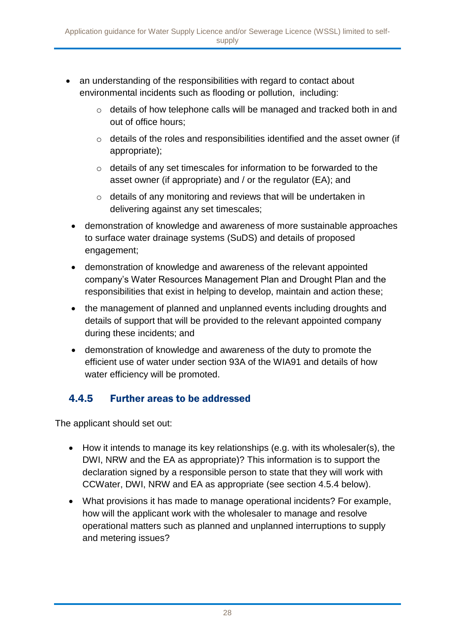- an understanding of the responsibilities with regard to contact about environmental incidents such as flooding or pollution, including:
	- o details of how telephone calls will be managed and tracked both in and out of office hours;
	- o details of the roles and responsibilities identified and the asset owner (if appropriate);
	- $\circ$  details of any set timescales for information to be forwarded to the asset owner (if appropriate) and / or the regulator (EA); and
	- o details of any monitoring and reviews that will be undertaken in delivering against any set timescales;
	- demonstration of knowledge and awareness of more sustainable approaches to surface water drainage systems (SuDS) and details of proposed engagement;
	- demonstration of knowledge and awareness of the relevant appointed company's Water Resources Management Plan and Drought Plan and the responsibilities that exist in helping to develop, maintain and action these;
	- the management of planned and unplanned events including droughts and details of support that will be provided to the relevant appointed company during these incidents; and
	- demonstration of knowledge and awareness of the duty to promote the efficient use of water under section 93A of the WIA91 and details of how water efficiency will be promoted.

### 4.4.5 Further areas to be addressed

The applicant should set out:

- How it intends to manage its key relationships (e.g. with its wholesaler(s), the DWI, NRW and the EA as appropriate)? This information is to support the declaration signed by a responsible person to state that they will work with CCWater, DWI, NRW and EA as appropriate (see section 4.5.4 below).
- What provisions it has made to manage operational incidents? For example, how will the applicant work with the wholesaler to manage and resolve operational matters such as planned and unplanned interruptions to supply and metering issues?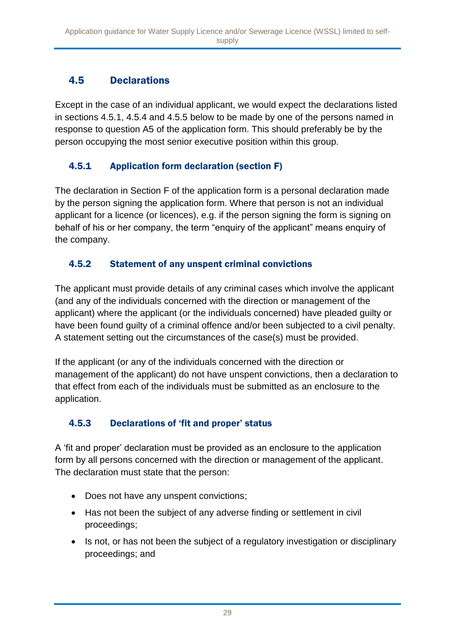### 4.5 Declarations

Except in the case of an individual applicant, we would expect the declarations listed in sections 4.5.1, 4.5.4 and 4.5.5 below to be made by one of the persons named in response to question A5 of the application form. This should preferably be by the person occupying the most senior executive position within this group.

### 4.5.1 Application form declaration (section F)

The declaration in Section F of the application form is a personal declaration made by the person signing the application form. Where that person is not an individual applicant for a licence (or licences), e.g. if the person signing the form is signing on behalf of his or her company, the term "enquiry of the applicant" means enquiry of the company.

### 4.5.2 Statement of any unspent criminal convictions

The applicant must provide details of any criminal cases which involve the applicant (and any of the individuals concerned with the direction or management of the applicant) where the applicant (or the individuals concerned) have pleaded guilty or have been found guilty of a criminal offence and/or been subjected to a civil penalty. A statement setting out the circumstances of the case(s) must be provided.

If the applicant (or any of the individuals concerned with the direction or management of the applicant) do not have unspent convictions, then a declaration to that effect from each of the individuals must be submitted as an enclosure to the application.

### 4.5.3 Declarations of 'fit and proper' status

A 'fit and proper' declaration must be provided as an enclosure to the application form by all persons concerned with the direction or management of the applicant. The declaration must state that the person:

- Does not have any unspent convictions;
- Has not been the subject of any adverse finding or settlement in civil proceedings;
- Is not, or has not been the subject of a regulatory investigation or disciplinary proceedings; and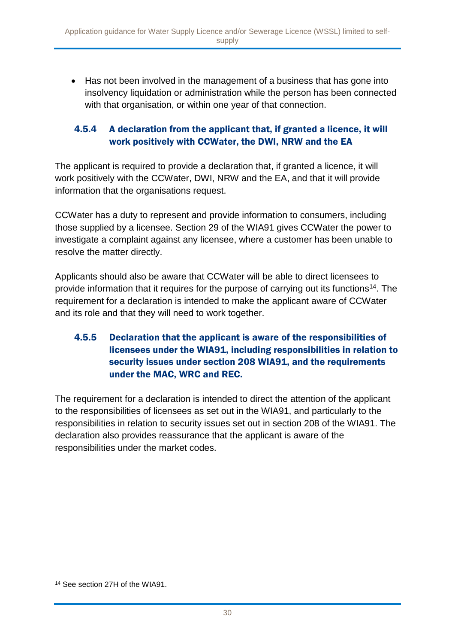Has not been involved in the management of a business that has gone into insolvency liquidation or administration while the person has been connected with that organisation, or within one year of that connection.

#### 4.5.4 A declaration from the applicant that, if granted a licence, it will work positively with CCWater, the DWI, NRW and the EA

The applicant is required to provide a declaration that, if granted a licence, it will work positively with the CCWater, DWI, NRW and the EA, and that it will provide information that the organisations request.

CCWater has a duty to represent and provide information to consumers, including those supplied by a licensee. Section 29 of the WIA91 gives CCWater the power to investigate a complaint against any licensee, where a customer has been unable to resolve the matter directly.

Applicants should also be aware that CCWater will be able to direct licensees to provide information that it requires for the purpose of carrying out its functions<sup>14</sup>. The requirement for a declaration is intended to make the applicant aware of CCWater and its role and that they will need to work together.

#### 4.5.5 Declaration that the applicant is aware of the responsibilities of licensees under the WIA91, including responsibilities in relation to security issues under section 208 WIA91, and the requirements under the MAC, WRC and REC.

The requirement for a declaration is intended to direct the attention of the applicant to the responsibilities of licensees as set out in the WIA91, and particularly to the responsibilities in relation to security issues set out in section 208 of the WIA91. The declaration also provides reassurance that the applicant is aware of the responsibilities under the market codes.

1

<sup>14</sup> See section 27H of the WIA91.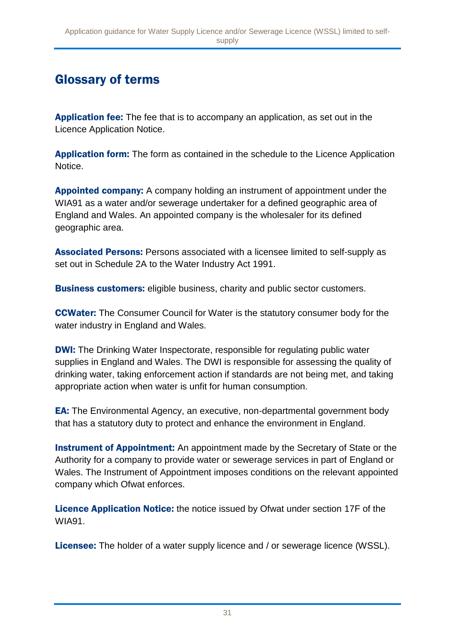# Glossary of terms

Application fee: The fee that is to accompany an application, as set out in the Licence Application Notice.

**Application form:** The form as contained in the schedule to the Licence Application **Notice** 

Appointed company: A company holding an instrument of appointment under the WIA91 as a water and/or sewerage undertaker for a defined geographic area of England and Wales. An appointed company is the wholesaler for its defined geographic area.

Associated Persons: Persons associated with a licensee limited to self-supply as set out in Schedule 2A to the Water Industry Act 1991.

**Business customers:** eligible business, charity and public sector customers.

CCWater: The Consumer Council for Water is the statutory consumer body for the water industry in England and Wales.

**DWI:** The Drinking Water Inspectorate, responsible for regulating public water supplies in England and Wales. The DWI is responsible for assessing the quality of drinking water, taking enforcement action if standards are not being met, and taking appropriate action when water is unfit for human consumption.

EA: The Environmental Agency, an executive, non-departmental government body that has a statutory duty to protect and enhance the environment in England.

Instrument of Appointment: An appointment made by the Secretary of State or the Authority for a company to provide water or sewerage services in part of England or Wales. The Instrument of Appointment imposes conditions on the relevant appointed company which Ofwat enforces.

Licence Application Notice: the notice issued by Ofwat under section 17F of the WIA91.

Licensee: The holder of a water supply licence and / or sewerage licence (WSSL).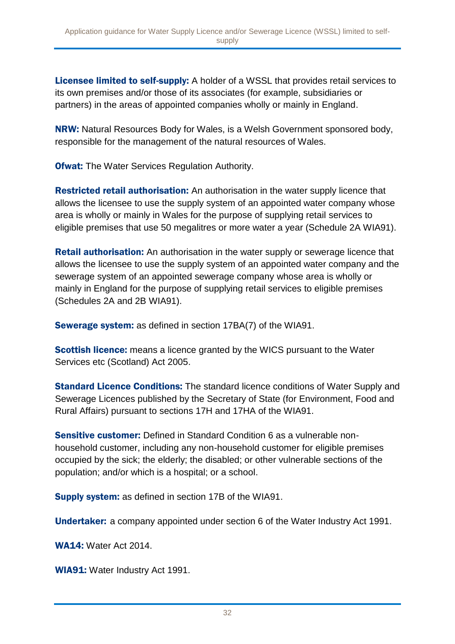Licensee limited to self-supply: A holder of a WSSL that provides retail services to its own premises and/or those of its associates (for example, subsidiaries or partners) in the areas of appointed companies wholly or mainly in England.

NRW: Natural Resources Body for Wales, is a Welsh Government sponsored body, responsible for the management of the natural resources of Wales.

**Ofwat:** The Water Services Regulation Authority.

Restricted retail authorisation: An authorisation in the water supply licence that allows the licensee to use the supply system of an appointed water company whose area is wholly or mainly in Wales for the purpose of supplying retail services to eligible premises that use 50 megalitres or more water a year (Schedule 2A WIA91).

Retail authorisation: An authorisation in the water supply or sewerage licence that allows the licensee to use the supply system of an appointed water company and the sewerage system of an appointed sewerage company whose area is wholly or mainly in England for the purpose of supplying retail services to eligible premises (Schedules 2A and 2B WIA91).

Sewerage system: as defined in section 17BA(7) of the WIA91.

**Scottish licence:** means a licence granted by the WICS pursuant to the Water Services etc (Scotland) Act 2005.

**Standard Licence Conditions:** The standard licence conditions of Water Supply and Sewerage Licences published by the Secretary of State (for Environment, Food and Rural Affairs) pursuant to sections 17H and 17HA of the WIA91.

Sensitive customer: Defined in Standard Condition 6 as a vulnerable nonhousehold customer, including any non-household customer for eligible premises occupied by the sick; the elderly; the disabled; or other vulnerable sections of the population; and/or which is a hospital; or a school.

Supply system: as defined in section 17B of the WIA91.

Undertaker: a company appointed under section 6 of the Water Industry Act 1991.

WA14: Water Act 2014.

WIA91: Water Industry Act 1991.